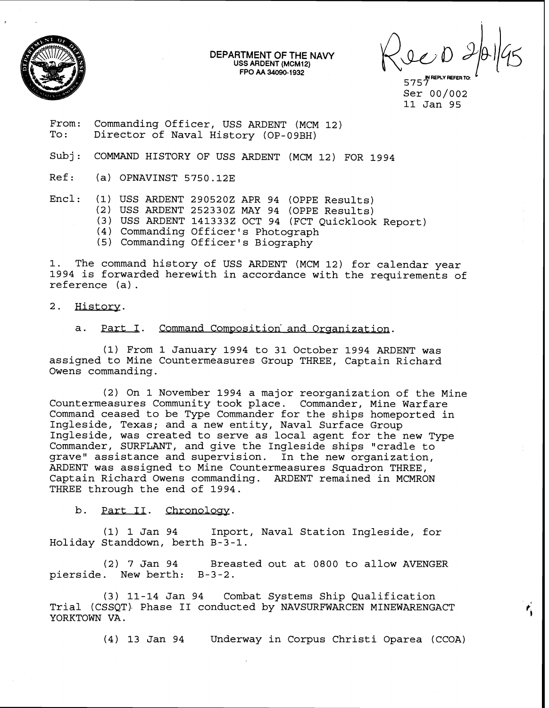

**DEPARTMENT OF THE NAVY USS ARDENT (MCM12) FPO AA 34090-1932** 

5757<br>5757 Ser 00/002 11 Jan 95

From: Commanding Officer, USS ARDENT (MCM 12)<br>To: Director of Naval History (OP-09BH) Director of Naval History (OP-09BH)

Subj: COMMAND HISTORY OF USS ARDENT (MCM 12) FOR 1994

Ref: (a) OPNAVINST 5750.12E

- Encl: (1) USS ARDENT 2905202 APR 94 (OPPE Results)
	- (2) USS ARDENT 2523302 MAY 94 (OPPE Results)
	- (3) USS ARDENT 1413332 OCT 94 (FCT Quicklook Report)
	- (4) Commanding Officer's Photograph
	- (5) Commanding Officer's Biography

1. The command history of USS ARDENT (MCM 12) for calendar year 1994 is forwarded herewith in accordance with the requirements of reference (a).

 $2.$ History.

## a. Part I. Command Composition and Organization.

(1) From 1 January 1994 to 31 October 1994 ARDENT was assigned to Mine Countermeasures Group THREE, Captain Richard Owens commanding.

(2) On 1 November 1994 a major reorganization of the Mine Countermeasures Community took place. Commander, Mine Warfare Command ceased to be Type Commander for the ships homeported in Ingleside, Texas; and a new entity, Naval Surface Group Ingleside, was created to serve as local agent for the new Type Commander, SURFLANT, and give the Ingleside ships "cradle to grave" assistance and supervision. In the new organization, ARDENT was assigned to Mine Countermeasures Squadron THREE, Captain Richard Owens commanding. ARDENT remained in MCMRON THREE through the end of 1994.

b. Part IT. Chronology.

(1) 1 Jan 94 Inport, Naval Station Ingleside, for Holiday Standdown, berth B-3-1.

(2) 7 Jan 94 Breasted out at 0800 to allow AVENGER pierside. New berth: B-3-2.

(3) 11-14 Jan 94 Combat Systems Ship Qualification Trial (CSSQT). Phase **I1** conducted by NAVSURFWARCEN MINEWARENGACT YORKTOWN VA. <sup>&</sup>lt;

(4) 13 Jan 94 Underway in Corpus Christi Oparea (CCOA)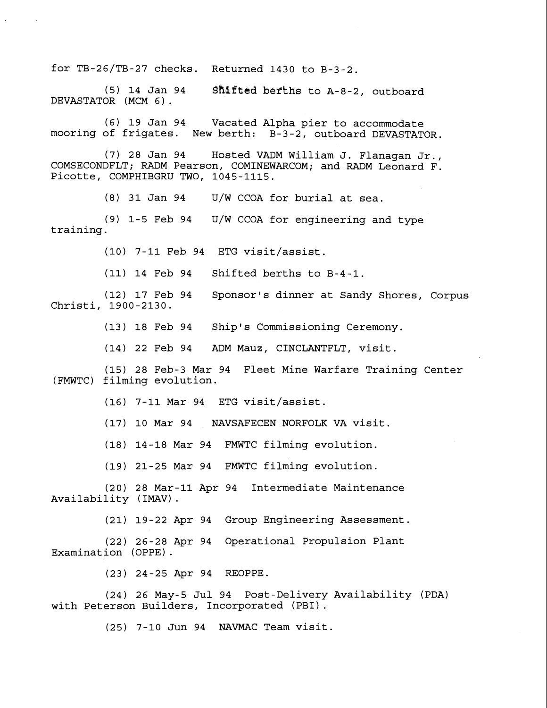for  $TB-26/TB-27$  checks. Returned 1430 to  $B-3-2$ .

(5) 14 Jan 94 **Shifted** befkhs to A-8-2, outboard DEVASTATOR (MCM 6).

(6) 19 Jan 94 Vacated Alpha pier to accommodate mooring of frigates. New berth: B-3-2, outboard DEVASTATOR.

(7) 28 Jan 94 Hosted VADM William J. Flanagan Jr., COMSECONDFLT; RADM Pearson, COMINEWARCOM; and RADM Leonard F. Picotte, COMPHIBGRU TWO, 1045-1115.

(8) 31 Jan 94 U/W CCOA for burial at sea.

(9) 1-5 Feb 94 U/W CCOA for engineering and type training.

(10) 7-11 Feb 94 ETG visit/assist.

(11) 14 Feb 94 Shifted berths to B-4-1.

(12) 17 Feb 94 Sponsor's dinner at Sandy Shores, Corpus Christi, 1900-2130.

(13) 18 Feb 94 Ship's Commissioning Ceremony.

(14) 22 Feb 94 ADM Mauz, CINCLANTFLT, visit.

(15) 28 Feb-3 Mar 94 Fleet Mine Warfare Training Center (FMWTC) filming evolution.

(16) 7-11 Mar 94 ETG visit/assist.

(17) 10 Mar 94 NAVSAFECEN NORFOLK VA visit.

(18) 14-18 Mar 94 FMWTC filming evolution.

(19) 21-25 Mar 94 FMWTC filming evolution.

(20) 28 Mar-11 Apr 94 Intermediate Maintenance Availability (IMAV) .

(21) 19-22 Apr 94 Group Engineering Assessment.

(22) 26-28 Apr 94 Operational Propulsion Plant Examination (OPPE) .

(23) 24-25 Apr 94 REOPPE.

(24) 26 May-5 Jul 94 Post-Delivery Availability (PDA) with Peterson Builders, Incorporated (PBI) .

(25) 7-10 Jun 94 NAVMAC Team visit.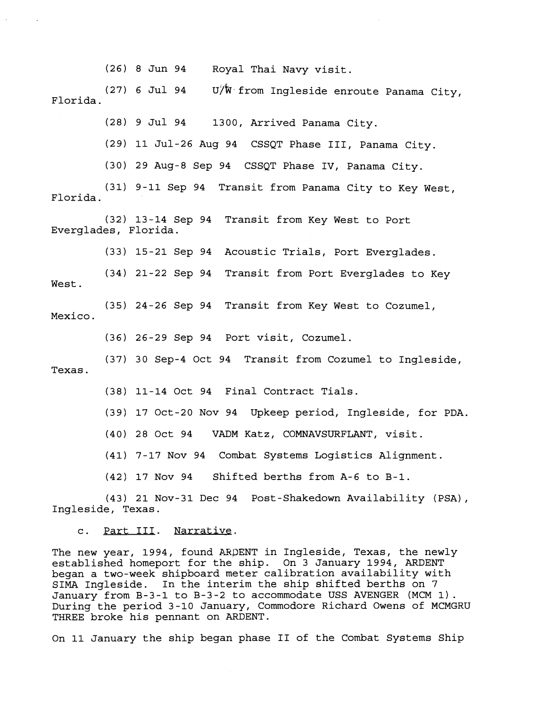(26) 8 Jun 94 Royal Thai Navy visit.

(27) 6 Jul 94 U/W from Ingleside enroute Panama City, Florida.

(28) 9 Jul 94 1300, Arrived Panama City.

(29) 11 Jul-26 Aug 94 CSSQT Phase 111, Panama City.

(30) 29 Aug-8 Sep 94 CSSQT Phase IV, Panama City.

(31) 9-11 Sep 94 Transit from Panama City to Key West, Florida.

(32) 13-14 Sep 94 Transit from Key West to Port Everglades, Florida.

(33) 15-21 Sep 94 Acoustic Trials, Port Everglades.

(34) 21-22 Sep 94 Transit from Port Everglades to Key West.

(35) 24-26 Sep 94 Transit from Key West to Cozumel, Mexico.

(36) 26-29 Sep 94 Port visit, Cozumel.

(37) 30 Sep-4 Oct 94 Transit from Cozumel to Ingleside, Texas.

(38) 11-14 Oct 94 Final Contract Tials.

(39) 17 Oct-20 Nov 94 Upkeep period, Ingleside, for PDA.

(40) 28 Oct 94 VADM Katz, COMNAVSURFLANT, visit.

(41) 7-17 Nov 94 Combat Systems Logistics Alignment.

(42) 17 Nov 94 Shifted berths from A-6 to B-1.

(43) 21 Nov-31 Dec 94 Post-Shakedown Availability (PSA), Ingleside, Texas.

## c. Part III. Narrative,

The new year, 1994, found ARDENT in Ingleside, Texas, the newly established homeport for the ship. On 3 January 1994, ARDENT began a two-week shipboard meter calibration availability with SIMA Ingleside. In the interim the ship shifted berths on 7 January from B-3-1 to B-3-2 to accommodate USS AVENGER (MCM 1). During the period 3-10 January, Commodore Richard Owens of MCMGRU THREE broke his pennant on ARDENT.

On 11 January the ship began phase **I1** of the Combat Systems Ship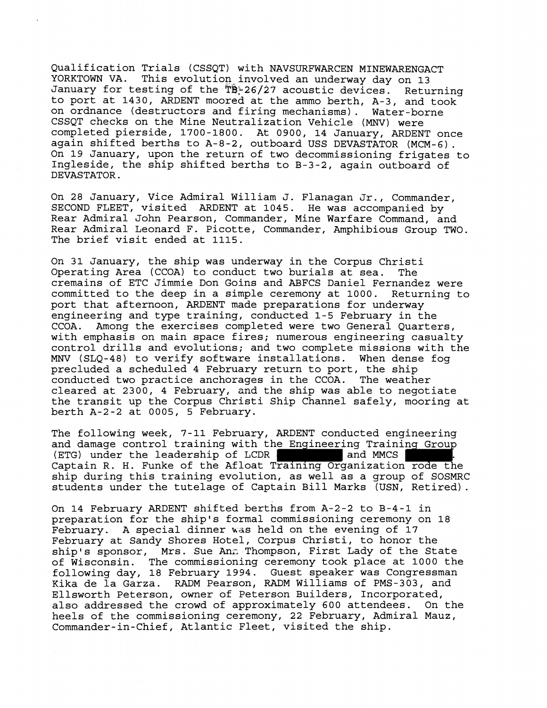Qualification Trials (CSSQT) with NAVSURFWARCEN MINEWARENGACT YORKTOWN VA. This evolution involved an underway day on 13 January for testing of the TB: 26/27 acoustic devices. Returning to port at 1430, ARDENT moored at the ammo berth, A-3, and took on ordnance (destructors and firing mechanisms). Water-borne CSSQT checks on the Mine Neutralization Vehicle **(MNV)** were completed pierside, 1700-1800. At 0900, 14 January, ARDENT once again shifted berths to A-8-2, outboard USS DEVASTATOR (MCM-6) . On 19 January, upon the return of two decommissioning frigates to Ingleside, the ship shifted berths to B-3-2, again outboard of DEVASTATOR.

On 28 January, Vice Admiral William J. Flanagan Jr., Commander, SECOND FLEET, visited ARDENT at 1045. He was accompanied by Rear Admiral John Pearson, Commander, Mine Warfare Command, and Rear Admiral Leonard F. Picotte, Commander, Amphibious Group TWO. The brief visit ended at 1115.

On 31 January, the ship was underway in the Corpus Christi Operating Area (CCOA) to conduct two burials at sea. The cremains of ETC Jimmie Don Goins and ABFCS Daniel Fernandez were committed to the deep in a simple ceremony at 1000. Returning to port that afternoon, ARDENT made preparations for underway engineering and type training, conducted 1-5 February in the Among the exercises completed were two General Quarters, with emphasis on main space fires; numerous engineering casualty control drills and evolutions; and two complete missions with the MNV (SLQ-48) to verify software installations. When dense fog precluded a scheduled 4 February return to port, the ship conducted two practice anchorages in the CCOA. The weather conducted two practice anchorages in the CCOA. cleared at 2300, 4 February, and the ship was able to negotiate the transit up the Corpus Christi Ship Channel safely, mooring at berth A-2-2 at 0005, 5 February.

The following week, 7-11 February, ARDENT conducted engineering and damage control training with the Engineering Training Group<br>(ETG) under the leadership of LCDR and MMCS Captain R. H. Funke of the Afloat Training Organization rode the ship during this training evolution, as well as a group of SOSMRC students under the tutelage of Captain Bill Marks (USN, Retired).

On 14 February ARDENT shifted berths from A-2-2 to B-4-1 in preparation for the ship's formal commissioning ceremony on 18 February. A special dinner was held on the evening of 17 February at Sandy Shores Hotel, Corpus Christi, to honor the ship's sponsor, Mrs. Sue Ann Thompson, First Lady of the State<br>of Wisconsin. The commissioning ceremony took place at 1000 the The commissioning ceremony took place at 1000 the following day, 18 February 1994. Guest speaker was Congressman Kika de la Garza. RADM Pearson, RADM Williams of PMS-303, and Ellsworth Peterson, owner of Peterson Builders, Incorporated, also addressed the crowd of approximately 600 attendees. On the heels of the commissioning ceremony, 22 February, Admiral Mauz, Commander-in-Chief, Atlantic Fleet, visited the ship.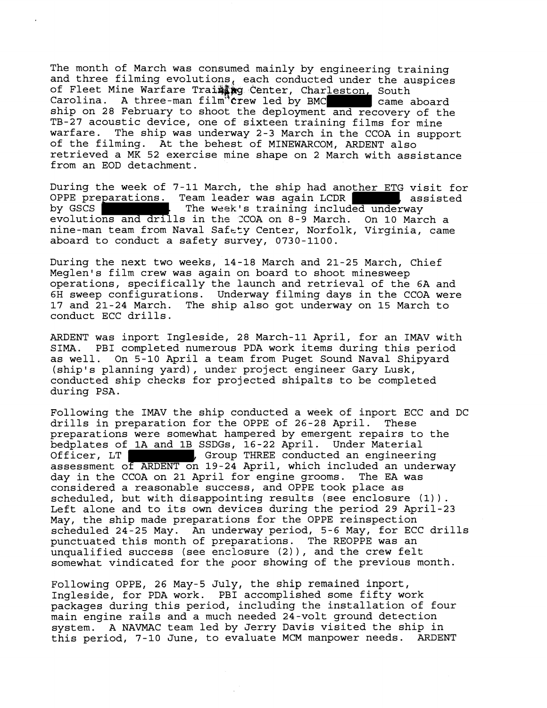The month of March was consumed mainly by engineering training and three filming evolutions, each conducted under the auspices of Fleet Mine Warfare Train wo Center, Charleston, South<br>Carolina. A three-man film crew led by BMC came aboard Carolina. A three-man film<sup>34</sup>  $circ$  led by BMC ship on 28 February to shoot the deployment and recovery of the TB-27 acoustic device, one of sixteen training films for mine warfare. The ship was underway 2-3 March in the CCOA in support of the filming. At the behest of MINEWARCOM, ARDENT also retrieved a MK 52 exercise mine shape on 2 March with assistance from an EOD detachment.

During the week of 7-11 March, the ship had another ETG visit for OPPE preparations. Team leader was again LCDR , assisted by GSCS . The week's training included underway evolutions and drills in the XOOA on 8-9 March. On 10 March a nine-man team from Naval Safety Center, Norfolk, Virginia, came aboard to conduct a safety survey, 0730-1100.

During the next two weeks, 14-18 March and 21-25 March, Chief Meglen's film crew was again on board to shoot minesweep operations, specifically the launch and retrieval of the 6A and 6H sweep configurations. Underway filming days in the CCOA were 17 and 21-24 March. The ship also got underway on 15 March to conduct ECC drills.

ARDENT was inport Ingleside, 28 March-11 April, for an IMAV with SIMA. PBI completed numerous PDA work items during this period as well. On 5-10 April a team from Puget Sound Naval Shipyard (ship's planning yard), under project engineer Gary Lusk, conducted ship checks for projected shipalts to be completed during PSA.

Following the IMAV the ship conducted a week of inport ECC and DC drills in preparation for the OPPE of 26-28 April. These preparations were somewhat hampered by emergent repairs to the bedplates of 1A and 1B SSDGs, 16-22 April. Under Material Officer, LT | The state of the THREE conducted an engineering assessment of ARDENT on 19-24 April, which included an underway day in the CCOA on 21 April for engine grooms. The EA was considered a reasonable success, and OPPE took place as scheduled, but with disappointing results (see enclosure (1)). Left alone and to its own devices during the period 29 April-23 May, the ship made preparations for the OPPE reinspection scheduled 24-25 May. An underway period, 5-6 May, for ECC drills punctuated this month of preparations. The REOPPE was an unqualified success (see enclosure (2) ), and the crew felt somewhat vindicated for the poor showing of the previous month.

Following OPPE, 26 May-5 July, the ship remained inport, Ingleside, for PDA work. PBI accomplished some fifty work packages during this period, including the installation of four main engine rails and a much needed 24-volt ground detection system. A NAVMAC team led by Jerry Davis visited the ship in this period, 7-10 June, to evaluate MCM manpower needs. ARDENT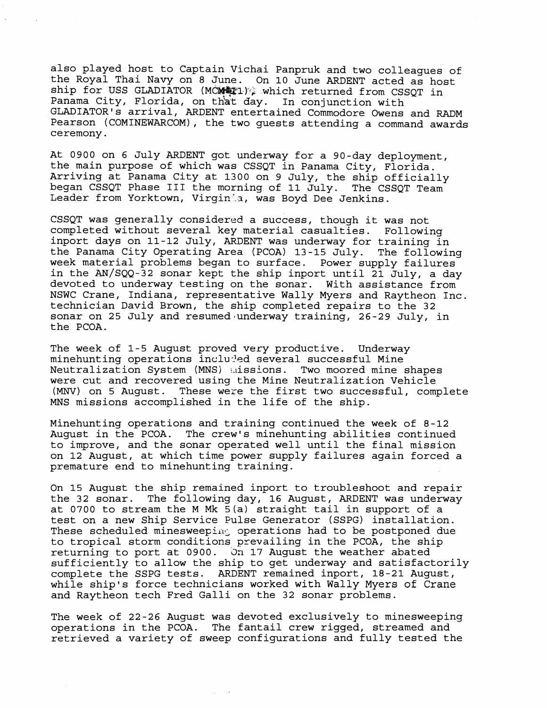also played host to Captain Vichai Panpruk and two colleagues of the Royal Thai Navy on 8 June. On **10** June ARDENT acted as host ship for USS GLADIATOR (MCMMP1), which returned from CSSQT in Panama City, Florida, on that day. In conjunction with GLADIATOR'S arrival, ARDENT entertained Commodore Owens and RADM Pearson (COMINEWARCOM), the two guests attending a command awards ceremony.

At **0900** on **6** July ARDENT got underway for a 90-day deployment, the main purpose of which was CSSQT in Panama City, Florida. Arriving at Panama City at **1300** on **9** July, the ship officially began CSSQT Phase III the morning of 11 July. Leader from Yorktown, Virginia, was Boyd Dee Jenkins.

CSSQT was generally considered a success, though it was not completed without several key material casualties. Following inport days on **11-12** July, ARDENT was underway for training in the Panama City Operating Area (PCOA) **13-15** July. The following week material problems began to surface. Power supply failures in the AN/SQQ-32 sonar kept the ship inport until **21** July, a day devoted to underway testing on the sonar. With assistance from NSWC Crane, Indiana, representative Wally Myers and Raytheon Inc. technician David Brown, the ship completed repairs to the **32**  sonar on **25** July and resumed-underway training, **26-29** July, in the PCOA.

The week of **1-5** August proved very productive. Underway minehunting operations included several successful Mine Neutralization System (MNS) alissions. Two moored mine shapes were cut and recovered using the Mine Neutralization Vehicle *(MNV)* on 5 August. These were the first two successful, complete MNS missions accomplished in the life of the ship.

Minehunting operations and training continued the week of **8-12**  August in the PCOA. The crew's minehunting abilities continued to improve, and the sonar operated well until the final mission on **12** August, at which time power supply failures again forced a premature end to minehunting training.

On **15** August the ship remained inport to troubleshoot and repair the **32** sonar. The following day, **16** August, ARDENT was underway at **0700** to stream the M Mk 5(a) straight tail in support of a test on a new Ship Service Fulse Generator (SSPG) installation. These scheduled minesweeping operations had to be postponed due to tropical storm conditions prevailing in the PCOA, the ship returning to port at **0900.** 3n **17** August the weather abated sufficiently to allow the ship to get underway and satisfactorily complete the SSPG tests. ARDENT remained inport, **18-21** August, while ship's force technicians worked with Wally Myers of Crane and Raytheon tech Fred Galli on the **32** sonar problems.

The week of **22-26** August was devoted exclusively to minesweeping operations in the PCOA. The fantail crew rigged, streamed and retrieved a variety of sweep configurations and fully tested the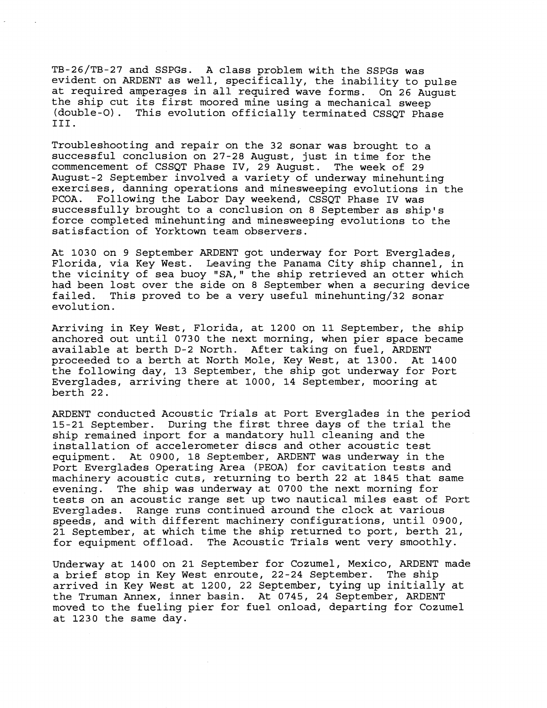TB-26/TB-27 and SSPGs. A class problem with the SSPGs was evident on ARDENT as well, specifically, the inability to pulse at required amperages in all required wave forms. On 26 August the ship cut its first moored mine using a mechanical sweep (double-0). This evolution officially terminated CSSQT Phase 111.

Troubleshooting and repair on the 32 sonar was brought to a successful conclusion on 27-28 August, just in time for the commencement of CSSQT Phase IV, 29 August. The week of 29 August-2 September involved a variety of underway minehunting exercises, danning operations and minesweeping evolutions in the PCOA. Following the Labor Day weekend, CSSQT Phase IV was successfully brought to a conclusion on 8 September as ship's force completed minehunting and minesweeping evolutions to the satisfaction of Yorktown team observers.

At 1030 on 9 September ARDENT got underway for Port Everglades, Florida, via Key West. Leaving the Panama City ship channel, in the vicinity of sea buoy "SA," the ship retrieved an otter which had been lost over the side on 8 September when a securing device<br>failed. This proved to be a very useful minehunting/32 sonar This proved to be a very useful minehunting/32 sonar evolution.

Arriving in Key West, Florida, at 1200 on 11 September, the ship anchored out until 0730 the next morning, when pier space became available at berth D-2 North. After taking on fuel, ARDENT proceeded to a berth at North Mole, Key West, at 1300. At 1400 the following day, 13 September, the ship got underway for Port Everglades, arriving there at 1000, 14 September, mooring at berth 22.

ARDENT conducted Acoustic Trials at Port Everglades in the period 15-21 September. During the first three days of the trial the ship remained inport for a mandatory hull cleaning and the installation of accelerometer discs and other acoustic test equipment. At 0900, 18 September, ARDENT was underway in the Port Everglades Operating Area (PEOA) for cavitation tests and machinery acoustic cuts, returning to berth 22 at 1845 that same evening. The ship was underway at 0700 the next morning for tests on an acoustic range set up two nautical miles east of Port Everglades. Range runs continued around the clock at various speeds, and with different machinery configurations, until 0900, 21 September, at which time the ship returned to port, berth 21, for equipment offload. The Acoustic Trials went very smoothly.

Underway at 1400 on 21 September for Cozumel, Mexico, ARDENT made a brief stop in Key West enroute, 22-24 September. The ship arrived in Key West at 1200, 22 September, tying up initially at the Truman Annex, inner basin. At 0745, 24 September, ARDENT moved to the fueling pier for fuel onload, departing for Cozumel at 1230 the same day.